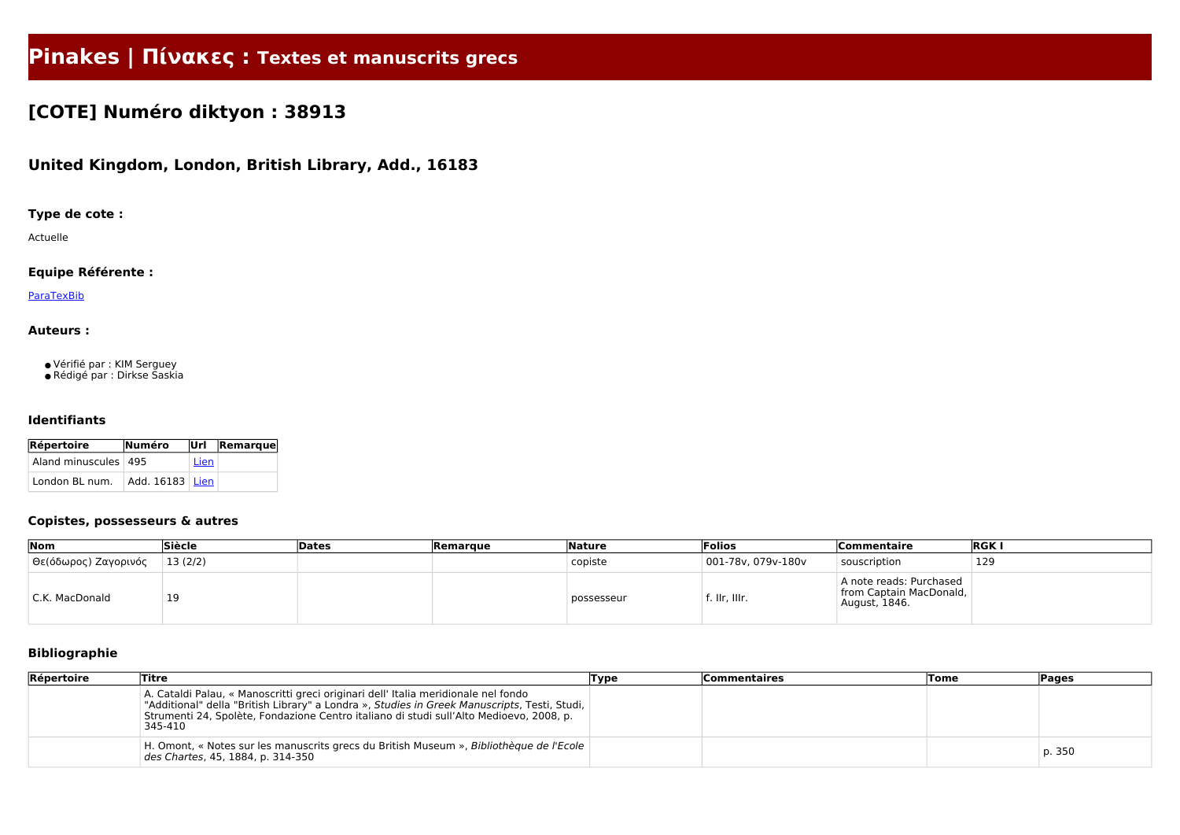# **Pinakes | Πίνακες : Textes et manuscrits grecs**

## **[COTE] Numéro diktyon : 38913**

## **United Kingdom, London, British Library, Add., 16183**

## **Type de cote :**

Actuelle

#### **Equipe Référente :**

**[ParaTexBib](http://www.paratexbib.eu)** 

#### **Auteurs :**

- Vérifié par : KIM Serguey
- Rédigé par : Dirkse Saskia

#### **Identifiants**

| <b>Répertoire</b>      | Numéro            |      | Url Remarque |
|------------------------|-------------------|------|--------------|
| Aland minuscules   495 |                   | Lien |              |
| l London BL num.       | Add. 16183   Lien |      |              |

#### **Copistes, possesseurs & autres**

| Nom                  | Siècle  | Dates | Remarque | Nature     | Folios                 | <b>Commentaire</b>                                                  | <b>RGKI</b> |
|----------------------|---------|-------|----------|------------|------------------------|---------------------------------------------------------------------|-------------|
| Θε(όδωρος) Ζαγορινός | 13(2/2) |       |          | copiste    | $ 001-78v, 079v-180v $ | souscription                                                        | 129         |
| C.K. MacDonald       | 19      |       |          | possesseur | f. IIr, IIIr.          | A note reads: Purchased<br>from Captain MacDonald,<br>August, 1846. |             |

## **Bibliographie**

| Répertoire | <b>Titre</b>                                                                                                                                                                                                                                                                             | Type | <b>Commentaires</b> | <b>Tome</b> | <b>Pages</b> |
|------------|------------------------------------------------------------------------------------------------------------------------------------------------------------------------------------------------------------------------------------------------------------------------------------------|------|---------------------|-------------|--------------|
|            | A. Cataldi Palau, « Manoscritti greci originari dell' Italia meridionale nel fondo<br>"Additional" della "British Library" a Londra », Studies in Greek Manuscripts, Testi, Studi,<br>Strumenti 24, Spolète, Fondazione Centro italiano di studi sull'Alto Medioevo, 2008, p.<br>345-410 |      |                     |             |              |
|            | H. Omont, « Notes sur les manuscrits grecs du British Museum », Bibliothèque de l'Ecole<br>des Chartes, 45, 1884, p. 314-350                                                                                                                                                             |      |                     |             | p. 350       |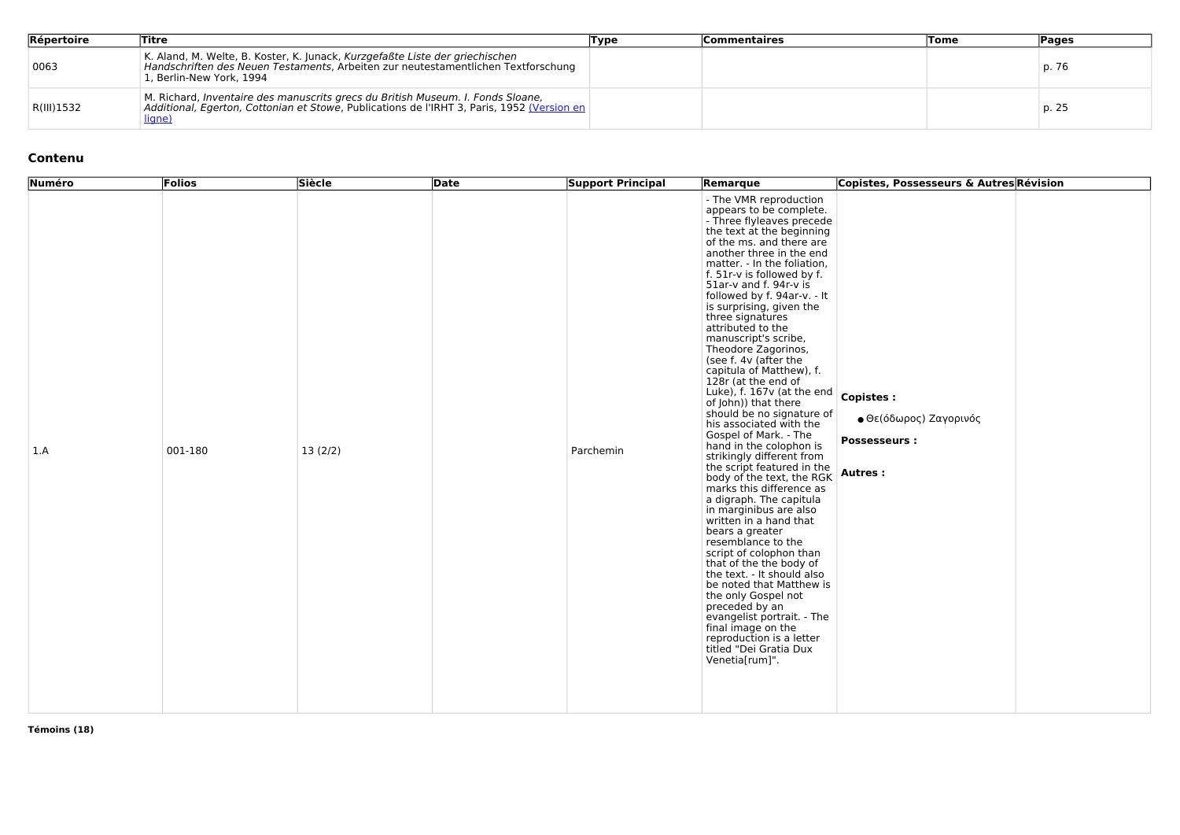| Répertoire | <b>Titre</b>                                                                                                                                                                                   | Type | <b>Commentaires</b> | <b>Tome</b> | <b>Pages</b> |
|------------|------------------------------------------------------------------------------------------------------------------------------------------------------------------------------------------------|------|---------------------|-------------|--------------|
| 0063       | K. Aland, M. Welte, B. Koster, K. Junack, Kurzgefaßte Liste der griechischen<br>Handschriften des Neuen Testaments, Arbeiten zur neutestamentlichen Textforschung<br>1, Berlin-New York, 1994  |      |                     |             | p. 76        |
| R(III)1532 | M. Richard, Inventaire des manuscrits grecs du British Museum. I. Fonds Sloane,<br>Additional, Egerton, Cottonian et Stowe, Publications de l'IRHT 3, Paris, 1952 (Version en<br><u>ligne)</u> |      |                     |             | p. 25        |

### **Contenu**

| Numéro | Folios  | Siècle  | Date | <b>Support Principal</b> | Remarque                                                                                                                                                                                                                                                                                                                                                                                                                                                                                                                                                                                                                                                                                                                                                                                                                                                                                                                                                                                                                                                                                                                                                                                     | Copistes, Possesseurs & Autres Révision                                              |
|--------|---------|---------|------|--------------------------|----------------------------------------------------------------------------------------------------------------------------------------------------------------------------------------------------------------------------------------------------------------------------------------------------------------------------------------------------------------------------------------------------------------------------------------------------------------------------------------------------------------------------------------------------------------------------------------------------------------------------------------------------------------------------------------------------------------------------------------------------------------------------------------------------------------------------------------------------------------------------------------------------------------------------------------------------------------------------------------------------------------------------------------------------------------------------------------------------------------------------------------------------------------------------------------------|--------------------------------------------------------------------------------------|
| 1.A    | 001-180 | 13(2/2) |      | Parchemin                | - The VMR reproduction<br>appears to be complete.<br>- Three flyleaves precede<br>the text at the beginning<br>of the ms. and there are<br>another three in the end<br>matter. - In the foliation,<br>f. 51r-v is followed by f.<br>51ar-v and f. 94r-v is<br>followed by f. 94ar-v. - It<br>is surprising, given the<br>three signatures<br>attributed to the<br>manuscript's scribe,<br>Theodore Zagorinos,<br>(see f. 4v (after the<br>capitula of Matthew), f.<br>128r (at the end of<br>Luke), f. 167v (at the end<br>of John)) that there<br>should be no signature of<br>his associated with the<br>Gospel of Mark. - The<br>hand in the colophon is<br>strikingly different from<br>the script featured in the<br>body of the text, the RGK<br>marks this difference as<br>a digraph. The capitula<br>in marginibus are also<br>written in a hand that<br>bears a greater<br>resemblance to the<br>script of colophon than<br>that of the the body of<br>the text. - It should also<br>be noted that Matthew is<br>the only Gospel not<br>preceded by an<br>evangelist portrait. - The<br>final image on the<br>reproduction is a letter<br>titled "Dei Gratia Dux<br>Venetia[rum]". | Copistes :<br><b>·</b> Θε(όδωρος) Ζαγορινός<br><b>Possesseurs:</b><br><b>Autres:</b> |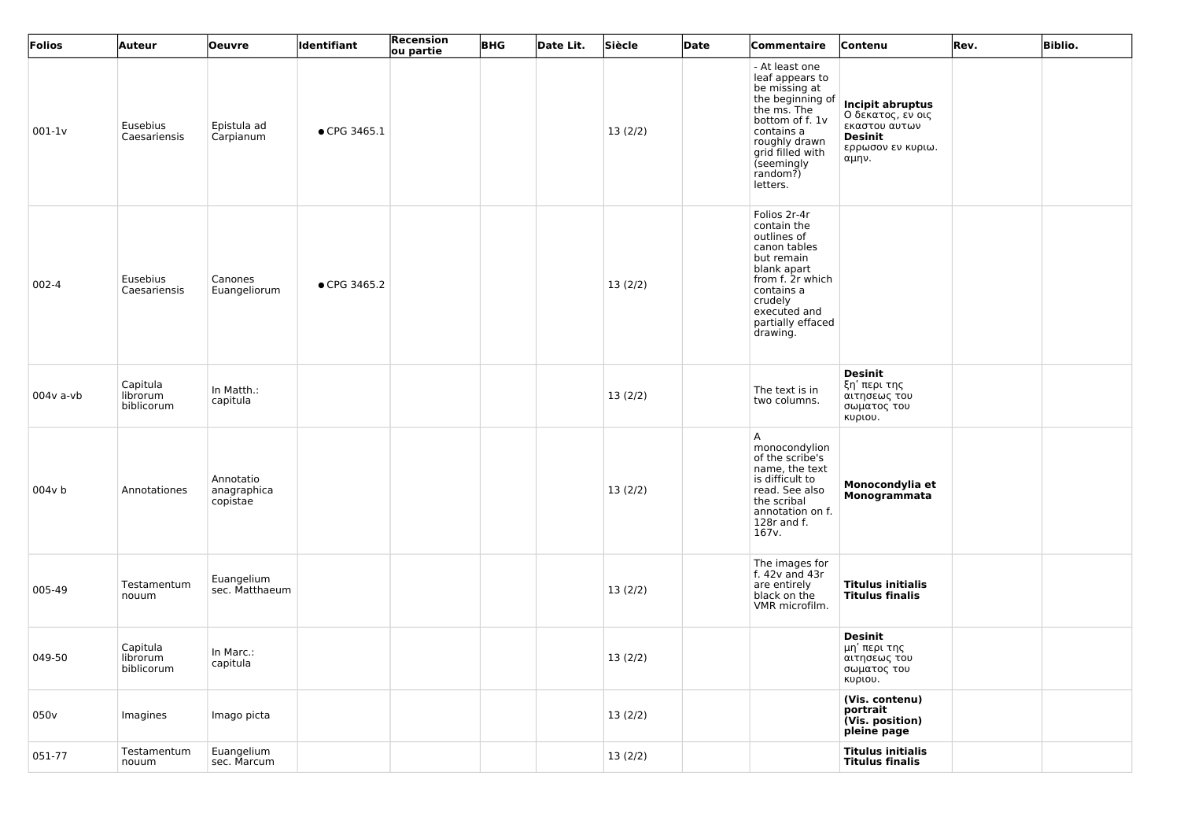| Folios      | Auteur                             | <b>Oeuvre</b>                        | Identifiant  | Recension<br>ou partie | <b>BHG</b> | Date Lit. | Siècle  | Date | Commentaire                                                                                                                                                                                              | Contenu                                                                                                | Rev. | <b>Biblio.</b> |
|-------------|------------------------------------|--------------------------------------|--------------|------------------------|------------|-----------|---------|------|----------------------------------------------------------------------------------------------------------------------------------------------------------------------------------------------------------|--------------------------------------------------------------------------------------------------------|------|----------------|
| $001 - 1v$  | Eusebius<br>Caesariensis           | Epistula ad<br>Carpianum             | • CPG 3465.1 |                        |            |           | 13(2/2) |      | - At least one<br>leaf appears to<br>be missing at<br>the beginning of<br>the ms. The<br>bottom of f. 1v<br>contains a<br>roughly drawn<br>grid filled with<br><i>(seemingly</i><br>random?)<br>letters. | Incipit abruptus<br>Ο δεκατος, εν οις<br>εκαστου αυτων<br><b>Desinit</b><br>ερρωσον εν κυριω.<br>αμην. |      |                |
| 002-4       | Eusebius<br>Caesariensis           | Canones<br>Euangeliorum              | • CPG 3465.2 |                        |            |           | 13(2/2) |      | Folios 2r-4r<br>contain the<br>outlines of<br>canon tables<br>but remain<br>blank apart<br>from f. 2r which<br>contains a<br>crudely<br>executed and<br>partially effaced<br>drawing.                    |                                                                                                        |      |                |
| $004v$ a-vb | Capitula<br>librorum<br>biblicorum | In Matth.:<br>capitula               |              |                        |            |           | 13(2/2) |      | The text is in<br>two columns.                                                                                                                                                                           | <b>Desinit</b><br>∣ξη' περι της<br>αιτησεως του<br>σωματος του<br>κυριου.                              |      |                |
| 004v b      | Annotationes                       | Annotatio<br>anagraphica<br>copistae |              |                        |            |           | 13(2/2) |      | A<br>monocondylion<br>of the scribe's<br>name, the text<br>is difficult to<br>read. See also<br>the scribal<br>annotation on f.<br>128r and f.<br>167v.                                                  | Monocondylia et<br>Monogrammata                                                                        |      |                |
| 005-49      | Testamentum<br>nouum               | Euangelium<br>sec. Matthaeum         |              |                        |            |           | 13(2/2) |      | The images for<br>f. $42v$ and $43r$<br>are entirely<br>black on the<br>VMR microfilm.                                                                                                                   | <b>Titulus initialis</b><br><b>Titulus finalis</b>                                                     |      |                |
| 049-50      | Capitula<br>librorum<br>biblicorum | In Marc.:<br>capitula                |              |                        |            |           | 13(2/2) |      |                                                                                                                                                                                                          | <b>Desinit</b><br>μη' περι της<br>αιτησεως του<br>σωματος του<br>κυριου.                               |      |                |
| 050v        | Imagines                           | Imago picta                          |              |                        |            |           | 13(2/2) |      |                                                                                                                                                                                                          | (Vis. contenu)<br>portrait<br>(Vis. position)<br>pleine page                                           |      |                |
| 051-77      | Testamentum<br>nouum               | Euangelium<br>sec. Marcum            |              |                        |            |           | 13(2/2) |      |                                                                                                                                                                                                          | <b>Titulus initialis</b><br><b>Titulus finalis</b>                                                     |      |                |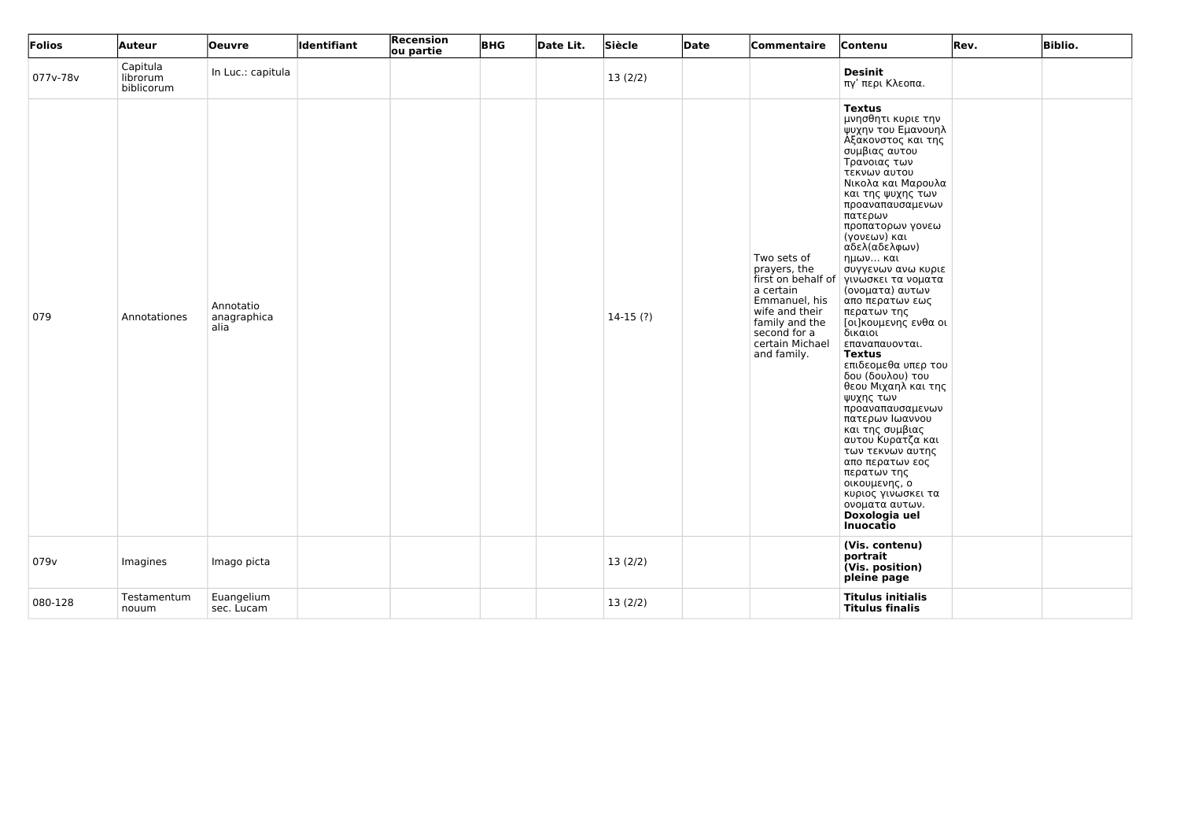| Folios   | <b>Auteur</b>                      | <b>Oeuvre</b>                    | Identifiant | Recension<br>ou partie | <b>BHG</b> | Date Lit. | Siècle     | Date | Commentaire                                                                                                                                                           | Contenu                                                                                                                                                                                                                                                                                                                                                                                                                                                                                                                                                                                                                                                                                                                                                                | Rev. | <b>Biblio.</b> |
|----------|------------------------------------|----------------------------------|-------------|------------------------|------------|-----------|------------|------|-----------------------------------------------------------------------------------------------------------------------------------------------------------------------|------------------------------------------------------------------------------------------------------------------------------------------------------------------------------------------------------------------------------------------------------------------------------------------------------------------------------------------------------------------------------------------------------------------------------------------------------------------------------------------------------------------------------------------------------------------------------------------------------------------------------------------------------------------------------------------------------------------------------------------------------------------------|------|----------------|
| 077v-78v | Capitula<br>librorum<br>biblicorum | In Luc.: capitula                |             |                        |            |           | 13(2/2)    |      |                                                                                                                                                                       | <b>Desinit</b><br>πγ' περι Κλεοπα.                                                                                                                                                                                                                                                                                                                                                                                                                                                                                                                                                                                                                                                                                                                                     |      |                |
| 079      | Annotationes                       | Annotatio<br>anagraphica<br>alia |             |                        |            |           | $14-15(?)$ |      | Two sets of<br>prayers, the<br>first on behalf of<br>a certain<br>Emmanuel, his<br>wife and their<br>family and the<br>second for a<br>certain Michael<br>and family. | <b>Textus</b><br>μνησθητι κυριε την<br>ψυχην του Εμανουηλ<br>Αξακονστος και της<br>συμβιας αυτου<br>Τρανοιας των<br>τεκνων αυτου<br>Νικολα και Μαρουλα<br>και της ψυχης των<br>προαναπαυσαμενων<br>πατερων<br>προπατορων γονεω<br>(γονεων) και<br>αδελ(αδελφων)<br>ημων και<br>συγγενων ανω κυριε<br>  γινωσκει τα νοματα<br>(ονοματα) αυτων<br>απο περατων εως<br>περατων της<br>[οι]κουμενης ενθα οι<br>δικαιοι<br>επαναπαυονται.<br><b>Textus</b><br>επιδεομεθα υπερ του<br>δου (δουλου) του<br>θεου Μιχαηλ και της<br>ψυχης των<br>προαναπαυσαμενων<br>πατερων Ιωαννου<br>και της συμβιας<br>αυτου Κυρατζα και<br>των τεκνων αυτης<br>απο περατων εος<br>περατων της<br>οικουμενης, ο<br>κυριος γινωσκει τα<br>ονοματα αυτων.<br>Doxologia uel<br><b>Inuocatio</b> |      |                |
| 079v     | Imagines                           | Imago picta                      |             |                        |            |           | 13(2/2)    |      |                                                                                                                                                                       | (Vis. contenu)<br>portrait<br>(Vis. position)<br>pleine page                                                                                                                                                                                                                                                                                                                                                                                                                                                                                                                                                                                                                                                                                                           |      |                |
| 080-128  | Testamentum<br>nouum               | Euangelium<br>sec. Lucam         |             |                        |            |           | 13(2/2)    |      |                                                                                                                                                                       | <b>Titulus initialis</b><br><b>Titulus finalis</b>                                                                                                                                                                                                                                                                                                                                                                                                                                                                                                                                                                                                                                                                                                                     |      |                |